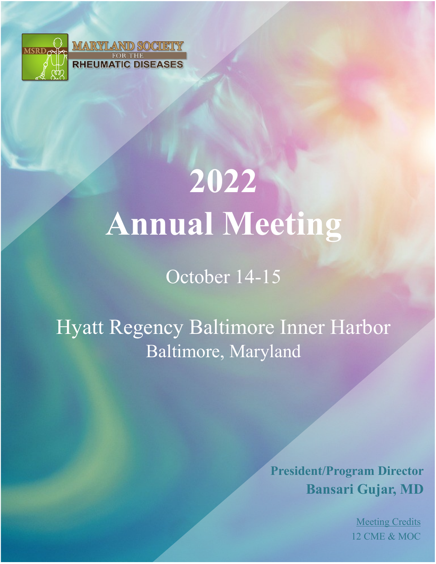

# **2022 Annual Meeting**

October 14-15

Hyatt Regency Baltimore Inner Harbor Baltimore, Maryland

> **President/Program Director Bansari Gujar, MD**

> > Meeting Credits 12 CME & MOC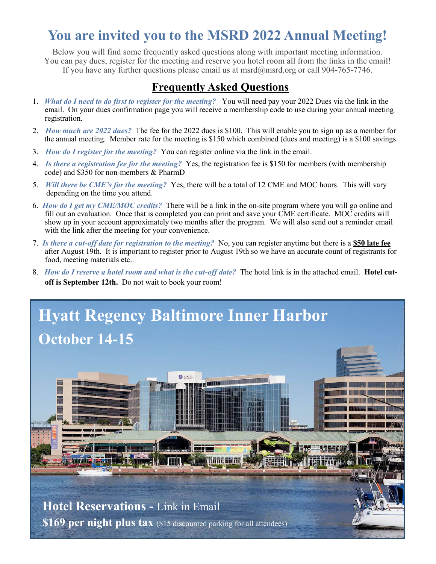## **You are invited you to the MSRD 2022 Annual Meeting!**

Below you will find some frequently asked questions along with important meeting information. You can pay dues, register for the meeting and reserve you hotel room all from the links in the email! If you have any further questions please email us at msrd@msrd.org or call 904-765-7746.

#### **Frequently Asked Questions**

- 1. *What do I need to do first to register for the meeting?* You will need pay your 2022 Dues via the link in the email. On your dues confirmation page you will receive a membership code to use during your annual meeting registration.
- 2. *How much are 2022 dues?* The fee for the 2022 dues is \$100. This will enable you to sign up as a member for the annual meeting. Member rate for the meeting is \$150 which combined (dues and meeting) is a \$100 savings.
- 3. *How do I register for the meeting?* You can register online via the link in the email.
- 4. *Is there a registration fee for the meeting?* Yes, the registration fee is \$150 for members (with membership code) and \$350 for non-members & PharmD
- 5. *Will there be CME's for the meeting?* Yes, there will be a total of 12 CME and MOC hours. This will vary depending on the time you attend.
- 6. *How do I get my CME/MOC credits?* There will be a link in the on-site program where you will go online and fill out an evaluation. Once that is completed you can print and save your CME certificate. MOC credits will show up in your account approximately two months after the program. We will also send out a reminder email with the link after the meeting for your convenience.
- 7. *Is there a cut-off date for registration to the meeting?* No, you can register anytime but there is a **\$50 late fee**  after August 19th. It is important to register prior to August 19th so we have an accurate count of registrants for food, meeting materials etc..
- 8. *How do I reserve a hotel room and what is the cut-off date?* The hotel link is in the attached email. **Hotel cutoff is September 12th.** Do not wait to book your room!

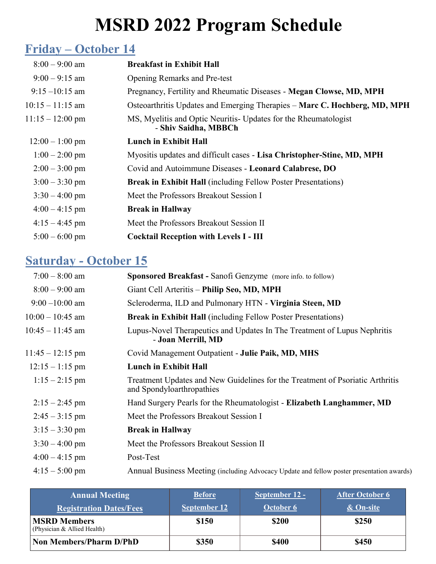## **MSRD 2022 Program Schedule**

## **Friday – October 14**

| $8:00 - 9:00$ am           | <b>Breakfast in Exhibit Hall</b>                                                       |  |  |
|----------------------------|----------------------------------------------------------------------------------------|--|--|
| $9:00 - 9:15$ am           | <b>Opening Remarks and Pre-test</b>                                                    |  |  |
| $9:15 - 10:15$ am          | Pregnancy, Fertility and Rheumatic Diseases - Megan Clowse, MD, MPH                    |  |  |
| $10:15 - 11:15$ am         | Osteoarthritis Updates and Emerging Therapies – Marc C. Hochberg, MD, MPH              |  |  |
| $11:15 - 12:00 \text{ pm}$ | MS, Myelitis and Optic Neuritis-Updates for the Rheumatologist<br>- Shiv Saidha, MBBCh |  |  |
| $12:00 - 1:00$ pm          | <b>Lunch in Exhibit Hall</b>                                                           |  |  |
| $1:00 - 2:00$ pm           | Myositis updates and difficult cases - Lisa Christopher-Stine, MD, MPH                 |  |  |
| $2:00 - 3:00$ pm           | Covid and Autoimmune Diseases - Leonard Calabrese, DO                                  |  |  |
| $3:00 - 3:30$ pm           | <b>Break in Exhibit Hall</b> (including Fellow Poster Presentations)                   |  |  |
| $3:30 - 4:00$ pm           | Meet the Professors Breakout Session I                                                 |  |  |
| $4:00 - 4:15$ pm           | <b>Break in Hallway</b>                                                                |  |  |
| $4:15 - 4:45$ pm           | Meet the Professors Breakout Session II                                                |  |  |
| $5:00 - 6:00$ pm           | <b>Cocktail Reception with Levels I - III</b>                                          |  |  |

#### **Saturday - October 15**

| $7:00 - 8:00$ am   | Sponsored Breakfast - Sanofi Genzyme (more info. to follow)                                                |  |  |
|--------------------|------------------------------------------------------------------------------------------------------------|--|--|
| $8:00 - 9:00$ am   | Giant Cell Arteritis - Philip Seo, MD, MPH                                                                 |  |  |
| $9:00 - 10:00$ am  | Scleroderma, ILD and Pulmonary HTN - Virginia Steen, MD                                                    |  |  |
| $10:00 - 10:45$ am | <b>Break in Exhibit Hall</b> (including Fellow Poster Presentations)                                       |  |  |
| $10:45 - 11:45$ am | Lupus-Novel Therapeutics and Updates In The Treatment of Lupus Nephritis<br>- Joan Merrill, MD             |  |  |
| $11:45 - 12:15$ pm | Covid Management Outpatient - Julie Paik, MD, MHS                                                          |  |  |
| $12:15 - 1:15$ pm  | <b>Lunch in Exhibit Hall</b>                                                                               |  |  |
| $1:15 - 2:15$ pm   | Treatment Updates and New Guidelines for the Treatment of Psoriatic Arthritis<br>and Spondyloarthropathies |  |  |
| $2:15 - 2:45$ pm   | Hand Surgery Pearls for the Rheumatologist - Elizabeth Langhammer, MD                                      |  |  |
| $2:45 - 3:15$ pm   | Meet the Professors Breakout Session I                                                                     |  |  |
| $3:15 - 3:30$ pm   | <b>Break in Hallway</b>                                                                                    |  |  |
| $3:30 - 4:00$ pm   | Meet the Professors Breakout Session II                                                                    |  |  |
| $4:00 - 4:15$ pm   | Post-Test                                                                                                  |  |  |
| $4:15 - 5:00$ pm   | Annual Business Meeting (including Advocacy Update and fellow poster presentation awards)                  |  |  |

| <b>Annual Meeting</b><br><b>Registration Dates/Fees</b> | <b>Before</b><br><b>September 12</b> | September 12 -<br>October 6 | <b>After October 6</b><br>& On-site |
|---------------------------------------------------------|--------------------------------------|-----------------------------|-------------------------------------|
| <b>MSRD Members</b><br>(Physician & Allied Health)      | \$150                                | <b>\$200</b>                | \$250                               |
| <b>Non Members/Pharm D/PhD</b>                          | \$350                                | <b>\$400</b>                | \$450                               |